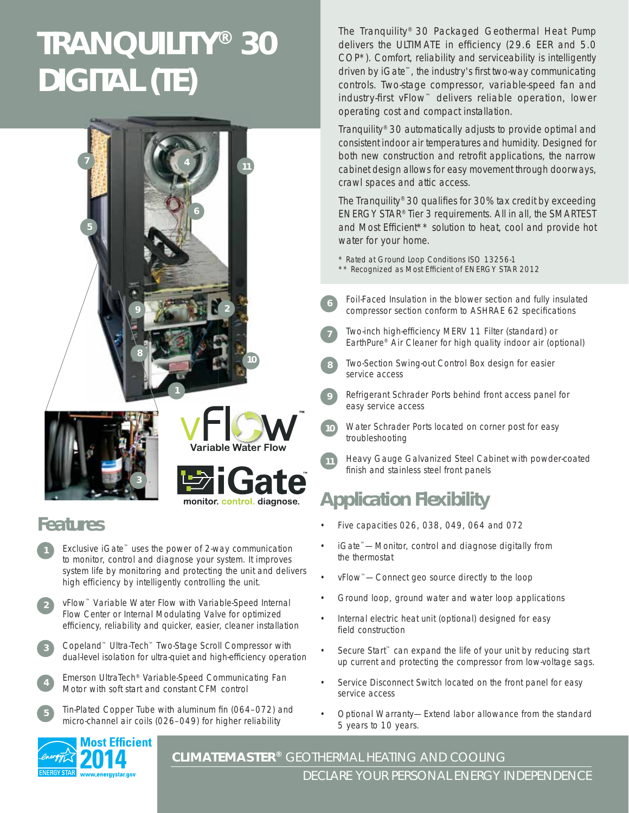# **TRANQUILITY® 30 DIGITAL (TE)**







**9**

**6**

**7**



### **Features**

- Exclusive iGate™ uses the power of 2-way communication to monitor, control and diagnose your system. It improves system life by monitoring and protecting the unit and delivers high efficiency by intelligently controlling the unit.
- vFlow™ Variable Water Flow with Variable-Speed Internal Flow Center or Internal Modulating Valve for optimized efficiency, reliability and quicker, easier, cleaner installation **2**
- Copeland™ Ultra-Tech™ Two-Stage Scroll Compressor with dual-level isolation for ultra-quiet and high-efficiency operation **3**
- Emerson UltraTech® Variable-Speed Communicating Fan Motor with soft start and constant CFM control **4**
- Tin-Plated Copper Tube with aluminum fin (064-072) and micro-channel air coils (026–049) for higher reliability **5**



Tranquility® 30 automatically adjusts to provide optimal and consistent indoor air temperatures and humidity. Designed for both new construction and retrofit applications, the narrow cabinet design allows for easy movement through doorways, crawl spaces and attic access.

The Tranquility® 30 qualifies for 30% tax credit by exceeding ENERGY STAR® Tier 3 requirements. All in all, the SMARTEST and Most Efficient\*\* solution to heat, cool and provide hot water for your home.

\* Rated at Ground Loop Conditions ISO 13256-1

- \*\* Recognized as Most Efficient of ENERGY STAR 2012
- Foil-Faced Insulation in the blower section and fully insulated compressor section conform to ASHRAE 62 specifications
- Two-inch high-efficiency MERV 11 Filter (standard) or EarthPure® Air Cleaner for high quality indoor air (optional)
- Two-Section Swing-out Control Box design for easier service access **8**
- Refrigerant Schrader Ports behind front access panel for easy service access
- Water Schrader Ports located on corner post for easy troubleshooting **10**
- Heavy Gauge Galvanized Steel Cabinet with powder-coated finish and stainless steel front panels **11**

## **Application Flexibility**

- Five capacities 026, 038, 049, 064 and 072
- iGate™—Monitor, control and diagnose digitally from the thermostat
- vFlow™—Connect geo source directly to the loop
- Ground loop, ground water and water loop applications
- Internal electric heat unit (optional) designed for easy field construction
- Secure Start<sup>™</sup> can expand the life of your unit by reducing start up current and protecting the compressor from low-voltage sags.
- Service Disconnect Switch located on the front panel for easy service access
- Optional Warranty—Extend labor allowance from the standard 5 years to 10 years.



**CLIMATEMASTER®** GEOTHERMAL HEATING AND COOLING DECLARE YOUR PERSONAL ENERGY INDEPENDENCE